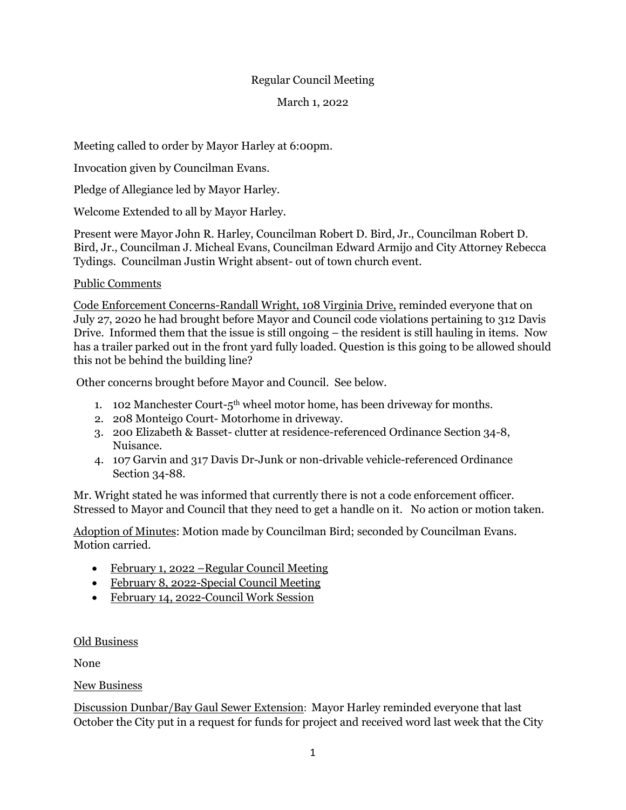## Regular Council Meeting

#### March 1, 2022

Meeting called to order by Mayor Harley at 6:00pm.

Invocation given by Councilman Evans.

Pledge of Allegiance led by Mayor Harley.

Welcome Extended to all by Mayor Harley.

Present were Mayor John R. Harley, Councilman Robert D. Bird, Jr., Councilman Robert D. Bird, Jr., Councilman J. Micheal Evans, Councilman Edward Armijo and City Attorney Rebecca Tydings. Councilman Justin Wright absent- out of town church event.

# Public Comments

Code Enforcement Concerns-Randall Wright, 108 Virginia Drive, reminded everyone that on July 27, 2020 he had brought before Mayor and Council code violations pertaining to 312 Davis Drive. Informed them that the issue is still ongoing – the resident is still hauling in items. Now has a trailer parked out in the front yard fully loaded. Question is this going to be allowed should this not be behind the building line?

Other concerns brought before Mayor and Council. See below.

- 1. 102 Manchester Court- $5<sup>th</sup>$  wheel motor home, has been driveway for months.
- 2. 208 Monteigo Court- Motorhome in driveway.
- 3. 200 Elizabeth & Basset- clutter at residence-referenced Ordinance Section 34-8, Nuisance.
- 4. 107 Garvin and 317 Davis Dr-Junk or non-drivable vehicle-referenced Ordinance Section 34-88.

Mr. Wright stated he was informed that currently there is not a code enforcement officer. Stressed to Mayor and Council that they need to get a handle on it. No action or motion taken.

Adoption of Minutes: Motion made by Councilman Bird; seconded by Councilman Evans. Motion carried.

- February 1, 2022 Regular Council Meeting
- February 8, 2022-Special Council Meeting
- February 14, 2022-Council Work Session

### Old Business

None

New Business

Discussion Dunbar/Bay Gaul Sewer Extension: Mayor Harley reminded everyone that last October the City put in a request for funds for project and received word last week that the City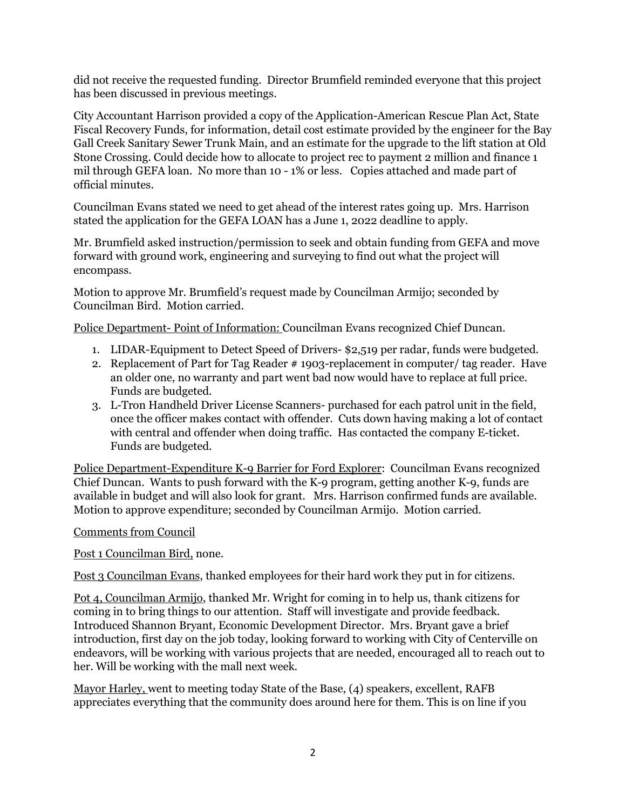did not receive the requested funding. Director Brumfield reminded everyone that this project has been discussed in previous meetings.

City Accountant Harrison provided a copy of the Application-American Rescue Plan Act, State Fiscal Recovery Funds, for information, detail cost estimate provided by the engineer for the Bay Gall Creek Sanitary Sewer Trunk Main, and an estimate for the upgrade to the lift station at Old Stone Crossing. Could decide how to allocate to project rec to payment 2 million and finance 1 mil through GEFA loan. No more than 10 - 1% or less. Copies attached and made part of official minutes.

Councilman Evans stated we need to get ahead of the interest rates going up. Mrs. Harrison stated the application for the GEFA LOAN has a June 1, 2022 deadline to apply.

Mr. Brumfield asked instruction/permission to seek and obtain funding from GEFA and move forward with ground work, engineering and surveying to find out what the project will encompass.

Motion to approve Mr. Brumfield's request made by Councilman Armijo; seconded by Councilman Bird. Motion carried.

Police Department- Point of Information: Councilman Evans recognized Chief Duncan.

- 1. LIDAR-Equipment to Detect Speed of Drivers- \$2,519 per radar, funds were budgeted.
- 2. Replacement of Part for Tag Reader # 1903-replacement in computer/ tag reader. Have an older one, no warranty and part went bad now would have to replace at full price. Funds are budgeted.
- 3. L-Tron Handheld Driver License Scanners- purchased for each patrol unit in the field, once the officer makes contact with offender. Cuts down having making a lot of contact with central and offender when doing traffic. Has contacted the company E-ticket. Funds are budgeted.

Police Department-Expenditure K-9 Barrier for Ford Explorer: Councilman Evans recognized Chief Duncan. Wants to push forward with the K-9 program, getting another K-9, funds are available in budget and will also look for grant. Mrs. Harrison confirmed funds are available. Motion to approve expenditure; seconded by Councilman Armijo. Motion carried.

### Comments from Council

Post 1 Councilman Bird, none.

Post 3 Councilman Evans, thanked employees for their hard work they put in for citizens.

Pot 4, Councilman Armijo, thanked Mr. Wright for coming in to help us, thank citizens for coming in to bring things to our attention. Staff will investigate and provide feedback. Introduced Shannon Bryant, Economic Development Director. Mrs. Bryant gave a brief introduction, first day on the job today, looking forward to working with City of Centerville on endeavors, will be working with various projects that are needed, encouraged all to reach out to her. Will be working with the mall next week.

Mayor Harley, went to meeting today State of the Base, (4) speakers, excellent, RAFB appreciates everything that the community does around here for them. This is on line if you